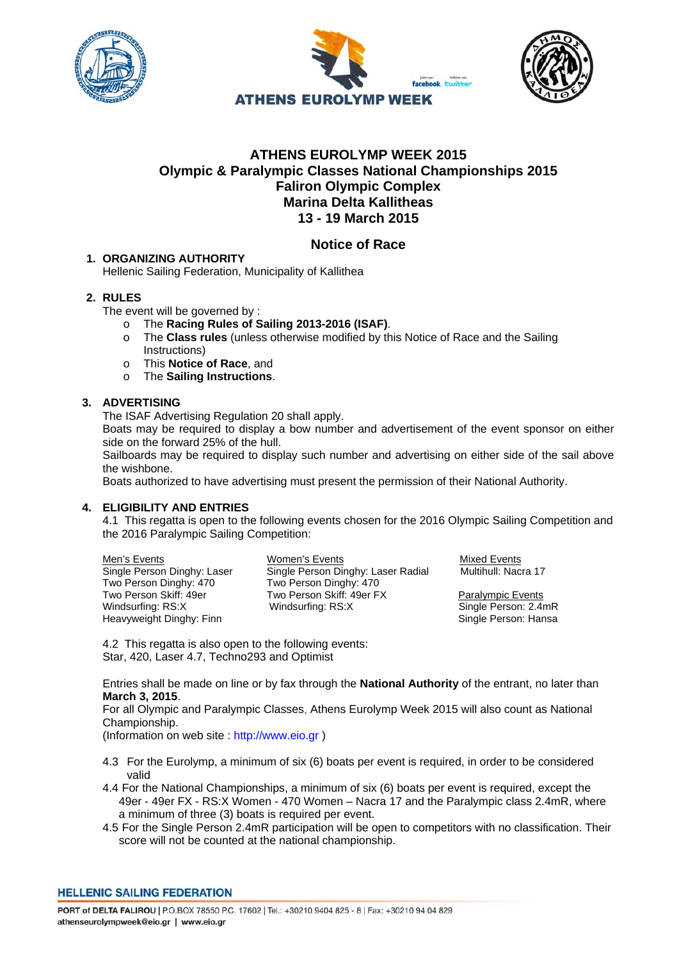





# **ATHENS EUROLYMP WEEK 2015 Olympic & Paralympic Classes National Championships 2015 Faliron Olympic Complex Marina Delta Kallitheas 13 - 19 March 2015**

# **Notice of Race**

## **1. ORGANIZING AUTHORITY**

Hellenic Sailing Federation, Municipality of Kallithea

# **2. RULES**

The event will be governed by :

- o The **Racing Rules of Sailing 2013-2016 (ISAF)**.
- o The **Class rules** (unless otherwise modified by this Notice of Race and the Sailing Instructions)
- o This **Notice of Race**, and
- o The **Sailing Instructions**.

## **3. ADVERTISING**

The ISAF Advertising Regulation 20 shall apply.

Boats may be required to display a bow number and advertisement of the event sponsor on either side on the forward 25% of the hull.

Sailboards may be required to display such number and advertising on either side of the sail above the wishbone.

Boats authorized to have advertising must present the permission of their National Authority.

#### **4. ELIGIBILITY AND ENTRIES**

4.1 This regatta is open to the following events chosen for the 2016 Olympic Sailing Competition and the 2016 Paralympic Sailing Competition:

Two Person Dinghy: 470 Two Person Dinghy: 470 Windsurfing: RS:X Windsurfing: RS:X Single Person: 2.4mR<br>Heavyweight Dinghy: Finn Windsurfing: RS:X Single Person: Hansa Heavyweight Dinghy: Finn

Men's Events Women's Events Mixed Events Single Person Dinghy: Laser Single Person Dinghy: Laser Radial Multihull: Nacra 17<br>Two Person Dinghy: 470 Two Person Dinghy: 470 Two Person Skiff: 49er FX<br>
Windsurfing: RS:X<br>
Single Person: 2.4r

4.2 This regatta is also open to the following events: Star, 420, Laser 4.7, Techno293 and Optimist

Entries shall be made on line or by fax through the **National Authority** of the entrant, no later than **March 3, 2015**.

For all Olympic and Paralympic Classes, Athens Eurolymp Week 2015 will also count as National Championship.

(Information on web site : http://www.eio.gr )

- 4.3 For the Eurolymp, a minimum of six (6) boats per event is required, in order to be considered valid
- 4.4 For the National Championships, a minimum of six (6) boats per event is required, except the 49er - 49er FX - RS:X Women - 470 Women – Nacra 17 and the Paralympic class 2.4mR, where a minimum of three (3) boats is required per event.
- 4.5 For the Single Person 2.4mR participation will be open to competitors with no classification. Their score will not be counted at the national championship.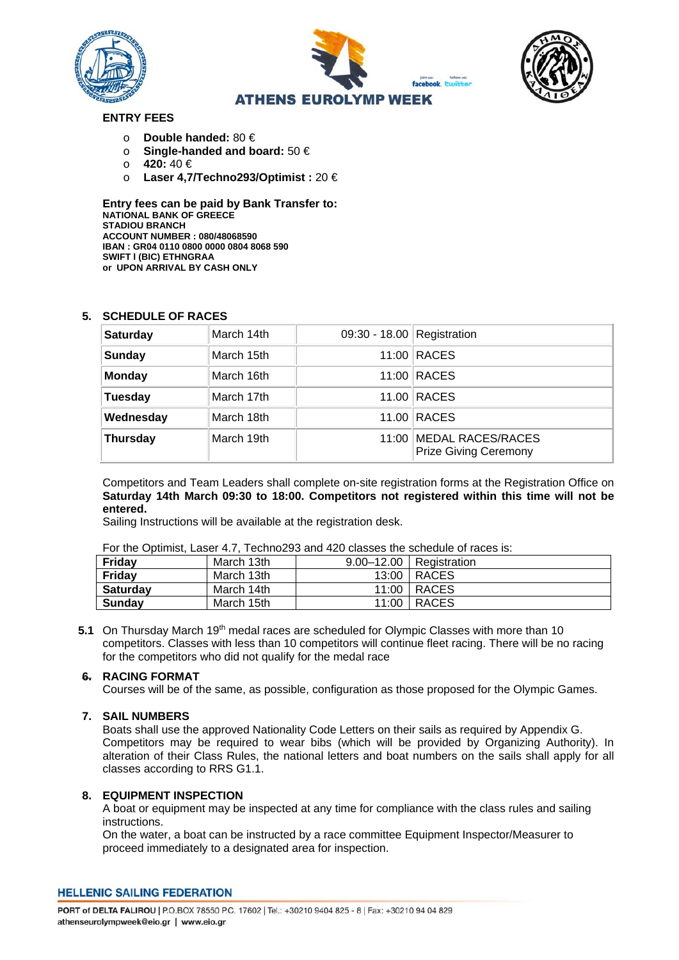





# **ENTRY FEES**

- o **Double handed:** 80 €
- o **Single-handed and board:** 50 €
- 
- o **420:** 40 € o **Laser 4,7/Techno293/Optimist :** 20 €

**Entry fees can be paid by Bank Transfer to: NATIONAL BANK OF GREECE STADIOU BRANCH ACCOUNT NUMBER : 080/48068590 IBAN : GR04 0110 0800 0000 0804 8068 590 SWIFT l (BIC) ETHNGRAA or UPON ARRIVAL BY CASH ONLY** 

## **5. SCHEDULE OF RACES**

| <b>Saturday</b> | March 14th | 09:30 - 18.00 Registration |                                                         |
|-----------------|------------|----------------------------|---------------------------------------------------------|
| <b>Sunday</b>   | March 15th |                            | 11:00 RACES                                             |
| <b>Monday</b>   | March 16th |                            | 11:00 RACES                                             |
| <b>Tuesday</b>  | March 17th |                            | 11.00 RACES                                             |
| Wednesday       | March 18th |                            | 11.00 RACES                                             |
| <b>Thursday</b> | March 19th |                            | 11:00 MEDAL RACES/RACES<br><b>Prize Giving Ceremony</b> |

Competitors and Team Leaders shall complete on-site registration forms at the Registration Office on **Saturday 14th March 09:30 to 18:00. Competitors not registered within this time will not be entered.** 

Sailing Instructions will be available at the registration desk.

|  |  | For the Optimist, Laser 4.7, Techno293 and 420 classes the schedule of races is: |
|--|--|----------------------------------------------------------------------------------|
|--|--|----------------------------------------------------------------------------------|

| ישו שטאו וס טאווטט שווט טעשוט טבו שווא טבעטוווטביט מוועדונוען וועס די ווי ווי שטווווישט שוו |            |  |                           |  |  |
|---------------------------------------------------------------------------------------------|------------|--|---------------------------|--|--|
| Friday                                                                                      | March 13th |  | 9.00–12.00   Registration |  |  |
| Friday                                                                                      | March 13th |  | 13:00   RACES             |  |  |
| <b>Saturdav</b>                                                                             | March 14th |  | 11:00   RACES             |  |  |
| <b>Sunday</b>                                                                               | March 15th |  | 11:00   RACES             |  |  |

5.1 On Thursday March 19<sup>th</sup> medal races are scheduled for Olympic Classes with more than 10 competitors. Classes with less than 10 competitors will continue fleet racing. There will be no racing for the competitors who did not qualify for the medal race

#### **6. RACING FORMAT**

Courses will be of the same, as possible, configuration as those proposed for the Olympic Games.

#### **7. SAIL NUMBERS**

Boats shall use the approved Nationality Code Letters on their sails as required by Appendix G. Competitors may be required to wear bibs (which will be provided by Organizing Authority). In alteration of their Class Rules, the national letters and boat numbers on the sails shall apply for all classes according to RRS G1.1.

#### **8. EQUIPMENT INSPECTION**

A boat or equipment may be inspected at any time for compliance with the class rules and sailing instructions.

On the water, a boat can be instructed by a race committee Equipment Inspector/Measurer to proceed immediately to a designated area for inspection.